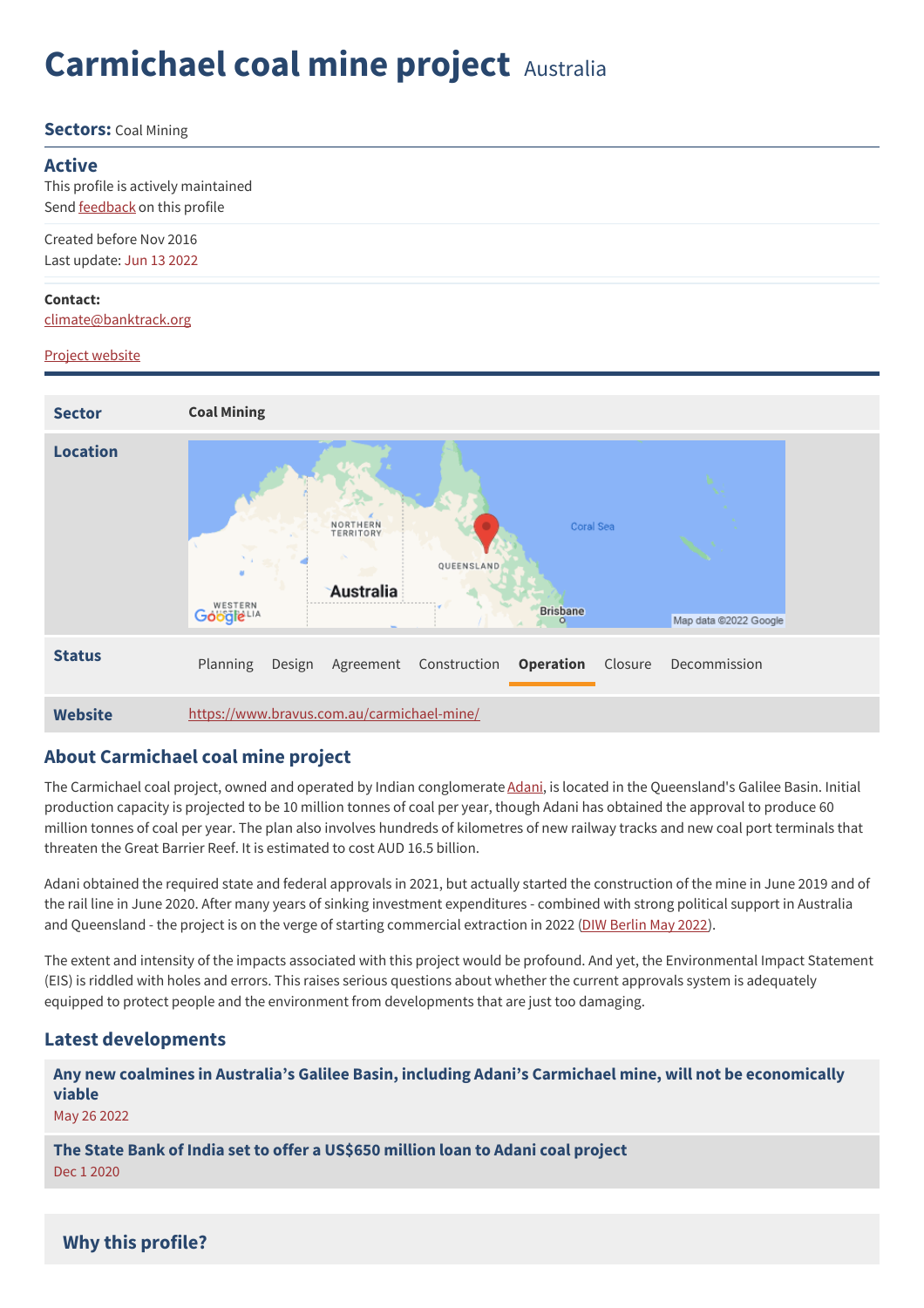# **Carmichael coal mine project** Australia

**Sectors:** Coal Mining

#### **Active**

This profile is actively maintained Send **[feedback](https://www.banktrack.org/feedback/dodgydeal/carmichael_coal_mine_project)** on this profile

Created before Nov 2016 Last update: Jun 13 2022

#### **Contact:**

[climate@banktrack.org](mailto:climate@banktrack.org)

#### Project [website](https://www.bravus.com.au/carmichael-mine/)

| <b>Sector</b>   | <b>Coal Mining</b>                                                                                                                                   |
|-----------------|------------------------------------------------------------------------------------------------------------------------------------------------------|
| <b>Location</b> | Coral Sea<br>NORTHERN<br><b>TERRITORY</b><br>QUEENSLAND<br>Australia<br>WESTERN<br><b>Brisbane</b><br>Google LIA<br>Map data @2022 Google<br>$\circ$ |
| <b>Status</b>   | <b>Operation</b><br>Decommission<br>Planning<br>Construction<br>Closure<br>Design<br>Agreement                                                       |
| <b>Website</b>  | https://www.bravus.com.au/carmichael-mine/                                                                                                           |

## **About Carmichael coal mine project**

The Carmichael coal project, owned and operated by Indian conglomerate [Adani](https://www.banktrack.org/company/adani), is located in the Queensland's Galilee Basin. Initial production capacity is projected to be 10 million tonnes of coal per year, though Adani has obtained the approval to produce 60 million tonnes of coal per year. The plan also involves hundreds of kilometres of new railway tracks and new coal port terminals that threaten the Great Barrier Reef. It is estimated to cost AUD 16.5 billion.

Adani obtained the required state and federal approvals in 2021, but actually started the construction of the mine in June 2019 and of the rail line in June 2020. After many years of sinking investment expenditures - combined with strong political support in Australia and Queensland - the project is on the verge of starting commercial extraction in 2022 (DIW [Berlin](https://www.diw.de/documents/publikationen/73/diw_01.c.840655.de/dp2003.pdf) May 2022).

The extent and intensity of the impacts associated with this project would be profound. And yet, the Environmental Impact Statement (EIS) is riddled with holes and errors. This raises serious questions about whether the current approvals system is adequately equipped to protect people and the environment from developments that are just too damaging.

## **Latest developments**

**Any new coalmines in Australia's Galilee Basin, including Adani's Carmichael mine, will not be [economically](javascript:void(0)) viable**

May 26 2022

**The State Bank of India set to offer a [US\\$650](javascript:void(0)) million loan to Adani coal project** Dec 1 2020

## **Why this profile?**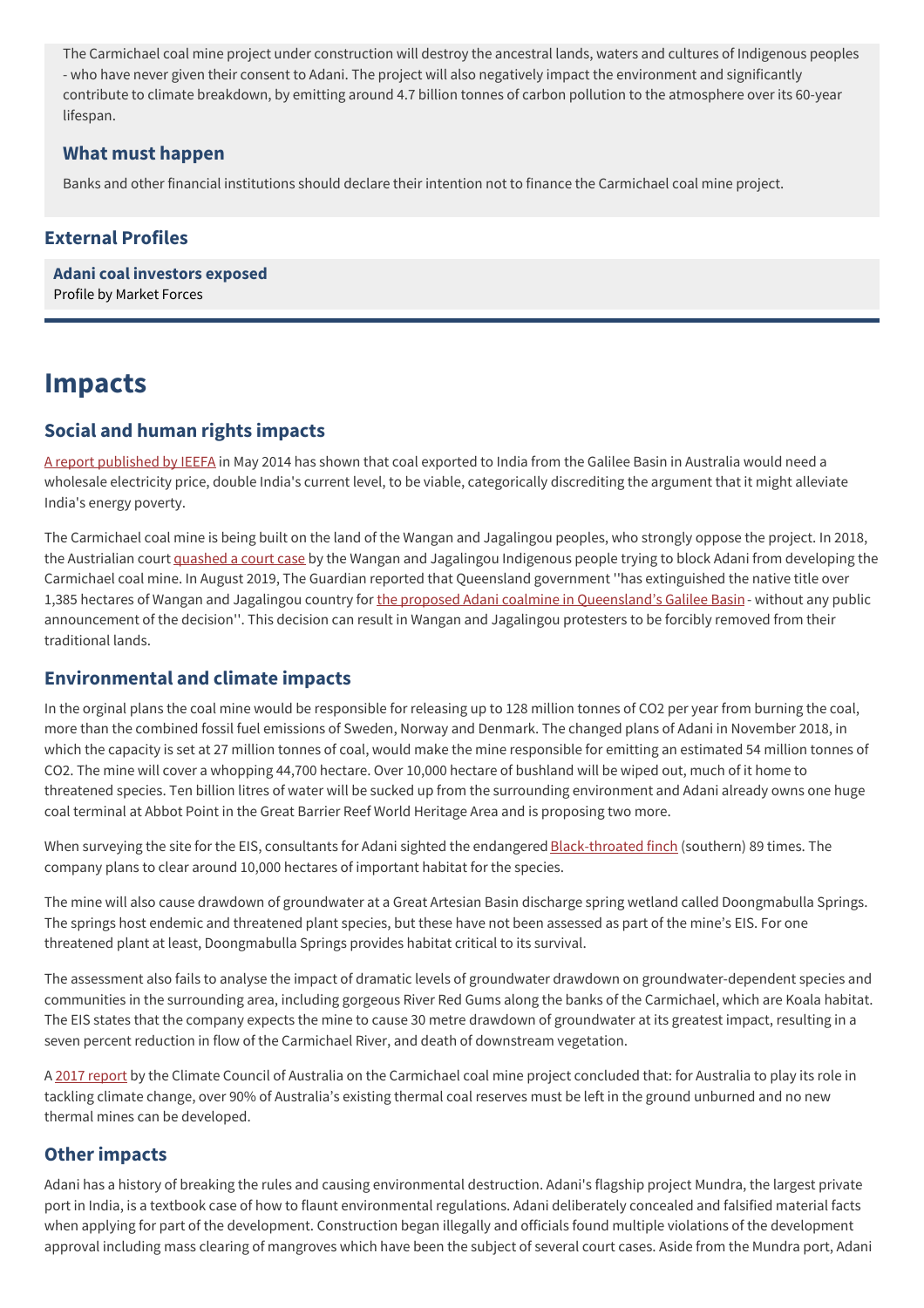The Carmichael coal mine project under construction will destroy the ancestral lands, waters and cultures of Indigenous peoples - who have never given their consent to Adani. The project will also negatively impact the environment and significantly contribute to climate breakdown, by emitting around 4.7 billion tonnes of carbon pollution to the atmosphere over its 60-year lifespan.

## **What must happen**

Banks and other financial institutions should declare their intention not to finance the Carmichael coal mine project.

## **External Profiles**

**Adani coal [investors](https://www.marketforces.org.au/campaigns/stop-adani/finance-stopadani/) exposed** Profile by Market Forces

## **Impacts**

## **Social and human rights impacts**

A report [published](https://www.banktrack.org/download/indian_power_prices/ieefa-briefing-note_indianelectricitycoalpricing_4-may-2014.pdf) by IEEFA in May 2014 has shown that coal exported to India from the Galilee Basin in Australia would need a wholesale electricity price, double India's current level, to be viable, categorically discrediting the argument that it might alleviate India's energy poverty.

The Carmichael coal mine is being built on the land of the Wangan and Jagalingou peoples, who strongly oppose the project. In 2018, the Austrialian court [quashed](https://www.reuters.com/article/adani-ent-australia/australian-court-quashes-indigenous-challenge-to-adani-mine-idUSL4N1V83JS) a court case by the Wangan and Jagalingou Indigenous people trying to block Adani from developing the Carmichael coal mine. In August 2019, The Guardian reported that Queensland government ''has extinguished the native title over 1,385 hectares of Wangan and Jagalingou country for the proposed Adani coalmine in [Queensland's](https://www.theguardian.com/environment/2019/aug/29/adani-mine-would-be-unviable-without-44bn-in-subsidies-report-finds) Galilee Basin- without any public announcement of the decision''. This decision can result in Wangan and Jagalingou protesters to be forcibly removed from their traditional lands.

## **Environmental and climate impacts**

In the orginal plans the coal mine would be responsible for releasing up to 128 million tonnes of CO2 per year from burning the coal, more than the combined fossil fuel emissions of Sweden, Norway and Denmark. The changed plans of Adani in November 2018, in which the capacity is set at 27 million tonnes of coal, would make the mine responsible for emitting an estimated 54 million tonnes of CO2. The mine will cover a whopping 44,700 hectare. Over 10,000 hectare of bushland will be wiped out, much of it home to threatened species. Ten billion litres of water will be sucked up from the surrounding environment and Adani already owns one huge coal terminal at Abbot Point in the Great Barrier Reef World Heritage Area and is proposing two more.

When surveying the site for the EIS, consultants for Adani sighted the endangered [Black-throated](http://www.greenpeace.org/australia/en/news/climate/Monster-mine-madness/) finch (southern) 89 times. The company plans to clear around 10,000 hectares of important habitat for the species.

The mine will also cause drawdown of groundwater at a Great Artesian Basin discharge spring wetland called Doongmabulla Springs. The springs host endemic and threatened plant species, but these have not been assessed as part of the mine's EIS. For one threatened plant at least, Doongmabulla Springs provides habitat critical to its survival.

The assessment also fails to analyse the impact of dramatic levels of groundwater drawdown on groundwater-dependent species and communities in the surrounding area, including gorgeous River Red Gums along the banks of the Carmichael, which are Koala habitat. The EIS states that the company expects the mine to cause 30 metre drawdown of groundwater at its greatest impact, resulting in a seven percent reduction in flow of the Carmichael River, and death of downstream vegetation.

A 2017 [report](https://www.banktrack.org/download/risky_business_health_climate_and_economic_risks_of_the_carmichael_coalmine/report_risky_business_carmichael_coal_mine_may_2017_by_climate_council.pdf) by the Climate Council of Australia on the Carmichael coal mine project concluded that: for Australia to play its role in tackling climate change, over 90% of Australia's existing thermal coal reserves must be left in the ground unburned and no new thermal mines can be developed.

## **Other impacts**

Adani has a history of breaking the rules and causing environmental destruction. Adani's flagship project Mundra, the largest private port in India, is a textbook case of how to flaunt environmental regulations. Adani deliberately concealed and falsified material facts when applying for part of the development. Construction began illegally and officials found multiple violations of the development approval including mass clearing of mangroves which have been the subject of several court cases. Aside from the Mundra port, Adani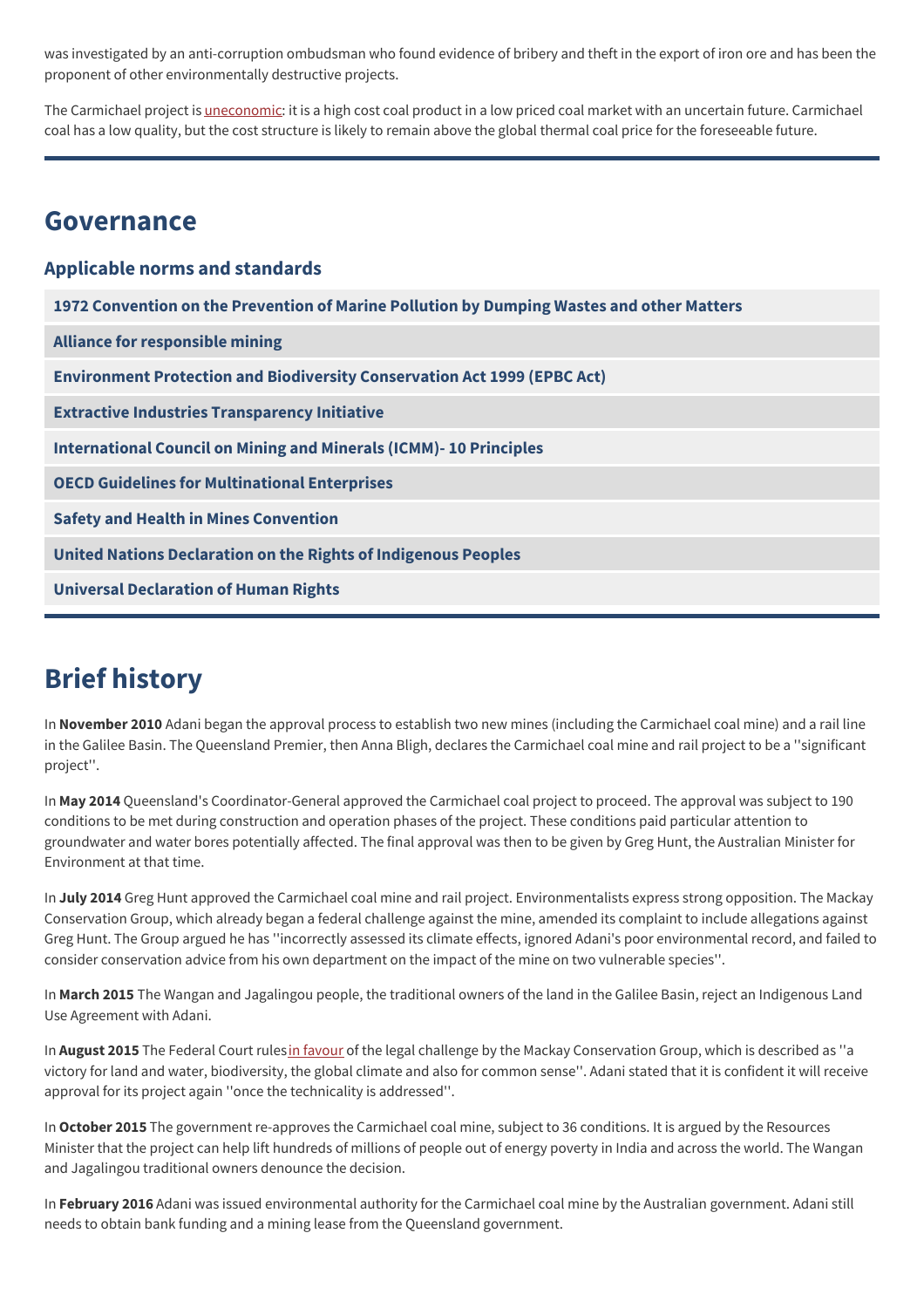was investigated by an anti-corruption ombudsman who found evidence of bribery and theft in the export of iron ore and has been the proponent of other environmentally destructive projects.

The Carmichael project is *[uneconomic](https://www.banktrack.org/project/manage/ems_files/download/remote_prospects/remote_prospects_a_financial_analysis_of_adani_s_coal_gamble_in_australias_galilee_basin.pdf)*: it is a high cost coal product in a low priced coal market with an uncertain future. Carmichael coal has a low quality, but the cost structure is likely to remain above the global thermal coal price for the foreseeable future.

## **Governance**

## **Applicable norms and standards**

**1972 [Convention](http://www.imo.org/About/Conventions/ListOfConventions/Pages/Convention-on-the-Prevention-of-Marine-Pollution-by-Dumping-of-Wastes-and-Other-Matter.aspx) on the Prevention of Marine Pollution by Dumping Wastes and other Matters Alliance for [responsible](http://www.communitymining.org/) mining Environment Protection and Biodiversity [Conservation](https://www.environment.gov.au/epbc) Act 1999 (EPBC Act) Extractive Industries [Transparency](http://eiti.org/) Initiative [International](http://www.icmm.com/our-work/sustainable-development-framework/10-principles) Council on Mining and Minerals (ICMM)- 10 Principles OECD Guidelines for [Multinational](http://www.oecd.org/document/28/0,3746,en_2649_34889_2397532_1_1_1_1,00.html) Enterprises Safety and Health in Mines [Convention](https://www.ilo.org/dyn/normlex/en/f?p=NORMLEXPUB:12100:0::NO::P12100_ILO_CODE:C176) United Nations [Declaration](http://www.un.org/esa/socdev/unpfii/documents/DRIPS_en.pdf) on the Rights of Indigenous Peoples Universal [Declaration](https://www.un.org/en/about-us/universal-declaration-of-human-rights) of Human Rights**

## **Brief history**

In **November 2010** Adani began the approval process to establish two new mines (including the Carmichael coal mine) and a rail line in the Galilee Basin. The Queensland Premier, then Anna Bligh, declares the Carmichael coal mine and rail project to be a ''significant project''.

In **May 2014** Queensland's Coordinator-General approved the Carmichael coal project to proceed. The approval was subject to 190 conditions to be met during construction and operation phases of the project. These conditions paid particular attention to groundwater and water bores potentially affected. The final approval was then to be given by Greg Hunt, the Australian Minister for Environment at that time.

In **July 2014** Greg Hunt approved the Carmichael coal mine and rail project. Environmentalists express strong opposition. The Mackay Conservation Group, which already began a federal challenge against the mine, amended its complaint to include allegations against Greg Hunt. The Group argued he has ''incorrectly assessed its climate effects, ignored Adani's poor environmental record, and failed to consider conservation advice from his own department on the impact of the mine on two vulnerable species''.

In **March 2015** The Wangan and Jagalingou people, the traditional owners of the land in the Galilee Basin, reject an Indigenous Land Use Agreement with Adani.

In **August 2015** The Federal Court rulesin [favour](https://www.sbs.com.au/news/carmichael-coal-mine-federal-court-overturns-approval-for-adani-project) of the legal challenge by the Mackay Conservation Group, which is described as ''a victory for land and water, biodiversity, the global climate and also for common sense''. Adani stated that it is confident it will receive approval for its project again ''once the technicality is addressed''.

In **October 2015** The government re-approves the Carmichael coal mine, subject to 36 conditions. It is argued by the Resources Minister that the project can help lift hundreds of millions of people out of energy poverty in India and across the world. The Wangan and Jagalingou traditional owners denounce the decision.

In **February 2016** Adani was issued environmental authority for the Carmichael coal mine by the Australian government. Adani still needs to obtain bank funding and a mining lease from the Queensland government.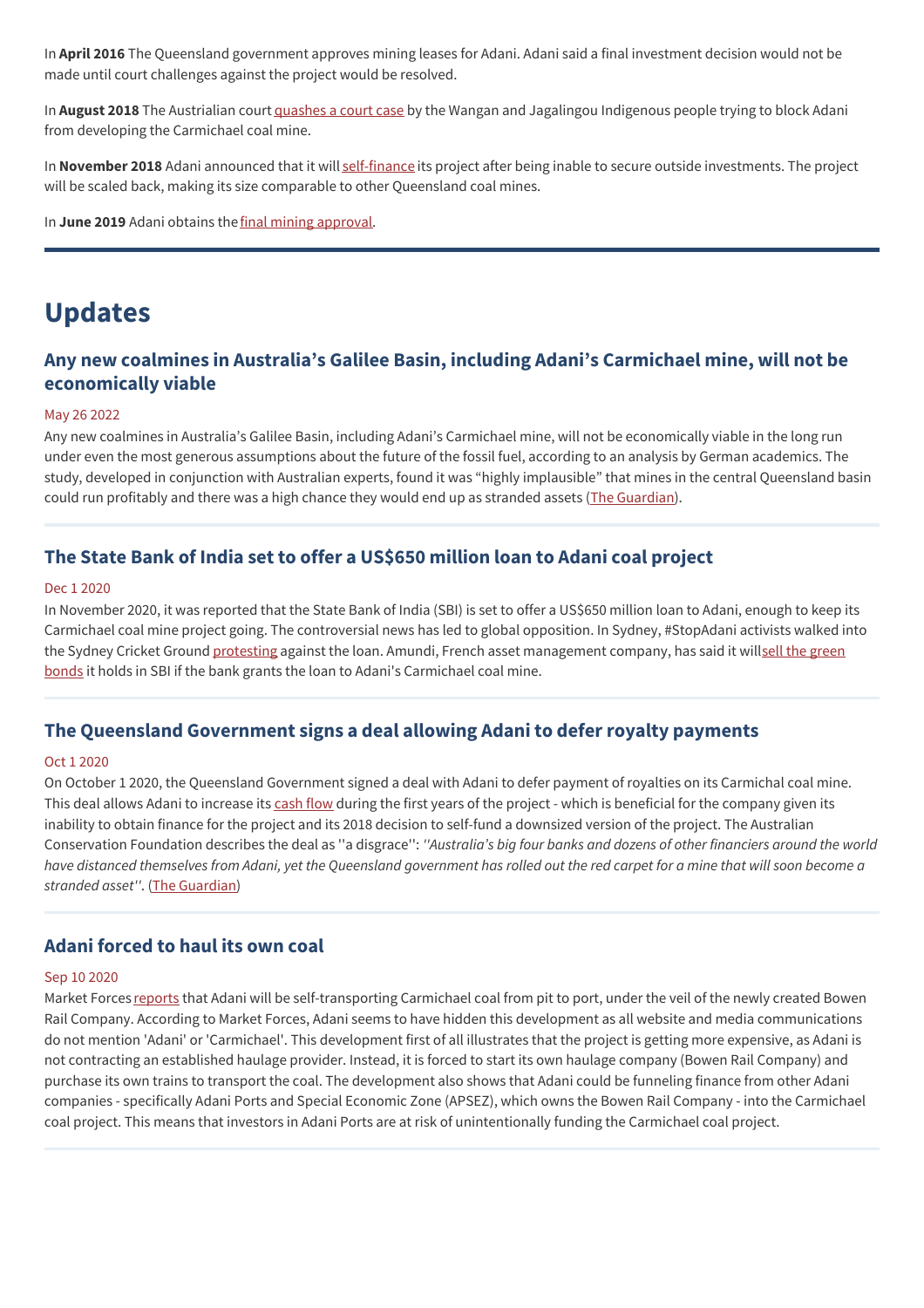In **April 2016** The Queensland government approves mining leases for Adani. Adani said a final investment decision would not be made until court challenges against the project would be resolved.

In **August 2018** The Austrialian court [quashes](https://www.reuters.com/article/adani-ent-australia/australian-court-quashes-indigenous-challenge-to-adani-mine-idUSL4N1V83JS) a court case by the Wangan and Jagalingou Indigenous people trying to block Adani from developing the Carmichael coal mine.

In **November 2018** Adani announced that it will [self-finance](https://www.theguardian.com/environment/2018/nov/29/adani-to-begin-work-immediately-on-self-financed-mine-but-hurdles-remain) its project after being inable to secure outside investments. The project will be scaled back, making its size comparable to other Queensland coal mines.

In **June 2019** Adani obtains the final mining [approval](https://www.abc.net.au/news/2019-06-14/adani-has-its-environmental-approvals2c-so-what-happens-now/11207998).

## **Updates**

## **Any new coalmines in Australia's Galilee Basin, including Adani's Carmichael mine, will not be economically viable**

#### May 26 2022

Any new coalmines in Australia's Galilee Basin, including Adani's Carmichael mine, will not be economically viable in the long run under even the most generous assumptions about the future of the fossil fuel, according to an analysis by German academics. The study, developed in conjunction with Australian experts, found it was "highly implausible" that mines in the central Queensland basin could run profitably and there was a high chance they would end up as stranded assets (The [Guardian](https://www.theguardian.com/australia-news/2022/may/27/highly-implausible-that-new-galilee-basin-coalmines-would-be-profitable-study-finds)).

## **The State Bank of India set to offer a US\$650 million loan to Adani coal project**

#### Dec 1 2020

In November 2020, it was reported that the State Bank of India (SBI) is set to offer a US\$650 million loan to Adani, enough to keep its Carmichael coal mine project going. The controversial news has led to global opposition. In Sydney, #StopAdani activists walked into the Sydney Cricket Ground [protesting](https://www.theindianwire.com/business/no-1b-adani-loan-protestors-barge-into-sydney-cricket-ground-in-a-bid-to-protest-against-sbi-299879/) against the loan. Amundi, French asset [management](https://www.cnbctv18.com/finance/amundi-gives-bond-warning-to-state-bank-of-india-over-coal-mine-7593201.htm) company, has said it willsell the green bonds it holds in SBI if the bank grants the loan to Adani's Carmichael coal mine.

### **The Queensland Government signs a deal allowing Adani to defer royalty payments**

#### Oct 1 2020

On October 1 2020, the Queensland Government signed a deal with Adani to defer payment of royalties on its Carmichal coal mine. This deal allows Adani to increase its [cash](http://www.theguardian.com/environment/2018/nov/03/adani-yet-to-sign-royalties-deal-despite-claiming-to-be-close-to-financing-mine) flow during the first years of the project - which is beneficial for the company given its inability to obtain finance for the project and its 2018 decision to self-fund a downsized version of the project. The Australian Conservation Foundation describes the deal as ''a disgrace'': *''Australia's big four banks and dozens of other financiers around the world* have distanced themselves from Adani, yet the Queensland government has rolled out the red carpet for a mine that will soon become a *stranded asset''*. (The [Guardian](https://www.theguardian.com/environment/2020/oct/01/queensland-strikes-royalties-deal-with-adani-coalmine-allowing-it-to-defer-payment))

## **Adani forced to haul its own coal**

#### Sep 10 2020

Market Forces [reports](https://www.marketforces.org.au/adani-forced-to-haul-its-own-its-own-coal-driving-up-the-cost-of-carmichael/) that Adani will be self-transporting Carmichael coal from pit to port, under the veil of the newly created Bowen Rail Company. According to Market Forces, Adani seems to have hidden this development as all website and media communications do not mention 'Adani' or 'Carmichael'. This development first of all illustrates that the project is getting more expensive, as Adani is not contracting an established haulage provider. Instead, it is forced to start its own haulage company (Bowen Rail Company) and purchase its own trains to transport the coal. The development also shows that Adani could be funneling finance from other Adani companies - specifically Adani Ports and Special Economic Zone (APSEZ), which owns the Bowen Rail Company - into the Carmichael coal project. This means that investors in Adani Ports are at risk of unintentionally funding the Carmichael coal project.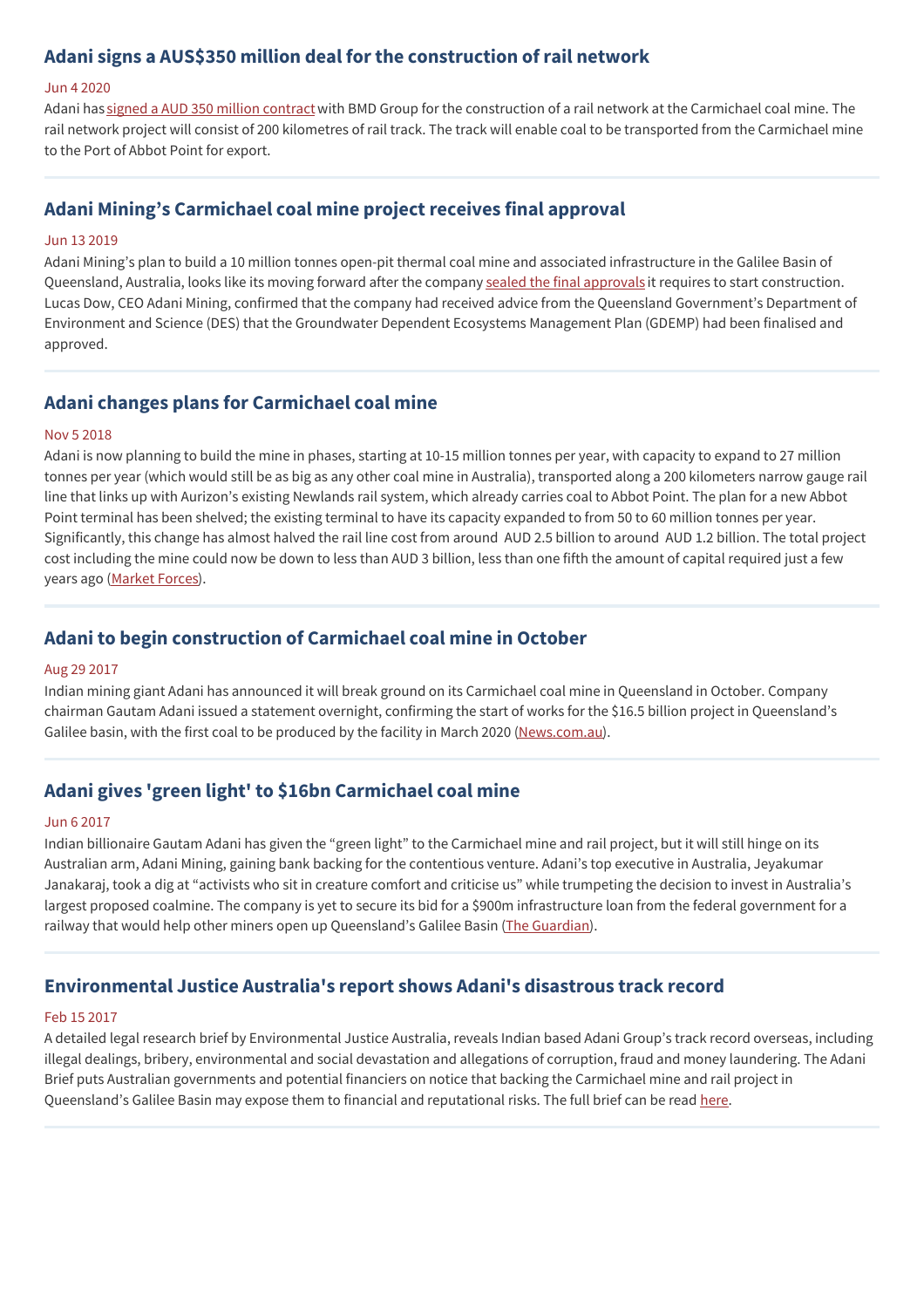## **Adani signs a AUS\$350 million deal for the construction of rail network**

#### Jun 4 2020

Adani has signed a AUD 350 million [contract](https://www.spglobal.com/marketintelligence/en/news-insights/latest-news-headlines/adani-awards-a-350m-contract-for-rail-network-at-australian-coal-project-58926728) with BMD Group for the construction of a rail network at the Carmichael coal mine. The rail network project will consist of 200 kilometres of rail track. The track will enable coal to be transported from the Carmichael mine to the Port of Abbot Point for export.

## **Adani Mining's Carmichael coal mine project receives final approval**

#### Jun 13 2019

Adani Mining's plan to build a 10 million tonnes open-pit thermal coal mine and associated infrastructure in the Galilee Basin of Queensland, Australia, looks like its moving forward after the company sealed the final [approvals](https://im-mining.com/2019/06/13/adani-minings-carmichael-coal-mine-plan-gets-the-thumbs-up/) it requires to start construction. Lucas Dow, CEO Adani Mining, confirmed that the company had received advice from the Queensland Government's Department of Environment and Science (DES) that the Groundwater Dependent Ecosystems Management Plan (GDEMP) had been finalised and approved.

## **Adani changes plans for Carmichael coal mine**

#### Nov 5 2018

Adani is now planning to build the mine in phases, starting at 10-15 million tonnes per year, with capacity to expand to 27 million tonnes per year (which would still be as big as any other coal mine in Australia), transported along a 200 kilometers narrow gauge rail line that links up with Aurizon's existing Newlands rail system, which already carries coal to Abbot Point. The plan for a new Abbot Point terminal has been shelved; the existing terminal to have its capacity expanded to from 50 to 60 million tonnes per year. Significantly, this change has almost halved the rail line cost from around AUD 2.5 billion to around AUD 1.2 billion. The total project cost including the mine could now be down to less than AUD 3 billion, less than one fifth the amount of capital required just a few years ago [\(Market](https://www.marketforces.org.au/adanis-new-plan-november-2018-update/) Forces).

## **Adani to begin construction of Carmichael coal mine in October**

#### Aug 29 2017

Indian mining giant Adani has announced it will break ground on its Carmichael coal mine in Queensland in October. Company chairman Gautam Adani issued a statement overnight, confirming the start of works for the \$16.5 billion project in Queensland's Galilee basin, with the first coal to be produced by the facility in March 2020 ([News.com.au](http://www.news.com.au/finance/business/mining/adani-will-begin-construction-of-its-carmichael-coal-mine-in-october/news-story/87691aee29ee43681323503aef1f7a70)).

## **Adani gives 'green light' to \$16bn Carmichael coal mine**

#### Jun 6 2017

Indian billionaire Gautam Adani has given the "green light" to the Carmichael mine and rail project, but it will still hinge on its Australian arm, Adani Mining, gaining bank backing for the contentious venture. Adani's top executive in Australia, Jeyakumar Janakaraj, took a dig at "activists who sit in creature comfort and criticise us" while trumpeting the decision to invest in Australia's largest proposed coalmine. The company is yet to secure its bid for a \$900m infrastructure loan from the federal government for a railway that would help other miners open up Queensland's Galilee Basin (The [Guardian\)](https://www.theguardian.com/environment/2017/jun/06/adani-gives-green-light-to-16bn-carmichael-coal-mine?CMP=share_btn_tw).

## **Environmental Justice Australia's report shows Adani's disastrous track record**

#### Feb 15 2017

A detailed legal research brief by Environmental Justice Australia, reveals Indian based Adani Group's track record overseas, including illegal dealings, bribery, environmental and social devastation and allegations of corruption, fraud and money laundering. The Adani Brief puts Australian governments and potential financiers on notice that backing the Carmichael mine and rail project in Queensland's Galilee Basin may expose them to financial and reputational risks. The full brief can be read [here](http://www.banktrack.org/download/the_adani_brief/the_adani_brief_by_environmental_justice_australia_febr_2017.pdf).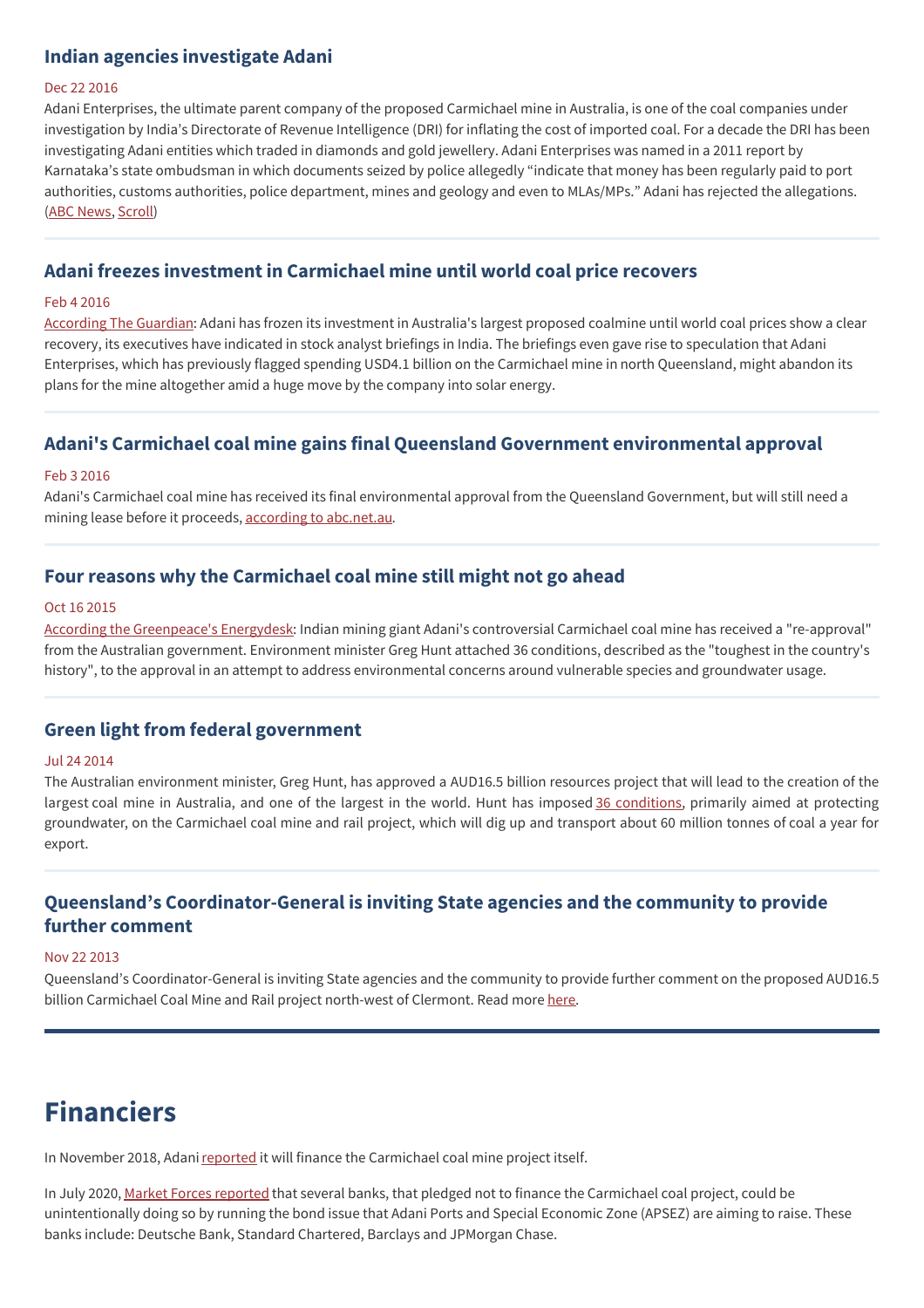## **Indian agencies investigate Adani**

#### Dec 22 2016

Adani Enterprises, the ultimate parent company of the proposed Carmichael mine in Australia, is one of the coal companies under investigation by India's Directorate of Revenue Intelligence (DRI) for inflating the cost of imported coal. For a decade the DRI has been investigating Adani entities which traded in diamonds and gold jewellery. Adani Enterprises was named in a 2011 report by Karnataka's state ombudsman in which documents seized by police allegedly "indicate that money has been regularly paid to port authorities, customs authorities, police department, mines and geology and even to MLAs/MPs." Adani has rejected the allegations. (ABC [News](http://coalswarm.us7.list-manage.com/track/click?u=12d44a41e01f46f204e2d8bf8&id=056753ffc1&e=2a05388363), [Scroll](http://coalswarm.us7.list-manage.com/track/click?u=12d44a41e01f46f204e2d8bf8&id=a02134e8cf&e=2a05388363))

## **Adani freezes investment in Carmichael mine until world coal price recovers**

#### Feb 4 2016

[According](http://www.theguardian.com/environment/2016/feb/04/adani-freezes-investment-in-carmichael-mine-until-world-coal-price-recovers) The Guardian: Adani has frozen its investment in Australia's largest proposed coalmine until world coal prices show a clear recovery, its executives have indicated in stock analyst briefings in India. The briefings even gave rise to speculation that Adani Enterprises, which has previously flagged spending USD4.1 billion on the Carmichael mine in north Queensland, might abandon its plans for the mine altogether amid a huge move by the company into solar energy.

### **Adani's Carmichael coal mine gains final Queensland Government environmental approval**

#### Feb 3 2016

Adani's Carmichael coal mine has received its final environmental approval from the Queensland Government, but will still need a mining lease before it proceeds, according to [abc.net.au](http://www.abc.net.au/news/2016-02-02/adanis-carmichael-mine-gains-final-state-environmental-approval/7134638).

## **Four reasons why the Carmichael coal mine still might not go ahead**

#### Oct 16 2015

According the [Greenpeace's](http://energydesk.greenpeace.org/2015/10/16/four-reasons-why-the-carmichael-coal-mine-still-might-not-go-ahead/) Energydesk: Indian mining giant Adani's controversial Carmichael coal mine has received a "re-approval" from the Australian government. Environment minister Greg Hunt attached 36 conditions, described as the "toughest in the country's history", to the approval in an attempt to address environmental concerns around vulnerable species and groundwater usage.

#### **Green light from federal government**

#### Jul 24 2014

The Australian environment minister, Greg Hunt, has approved a AUD16.5 billion resources project that will lead to the creation of the largest coal mine in Australia, and one of the largest in the world. Hunt has imposed 36 [conditions](http://www.environment.gov.au/cgi-bin/epbc/epbc_ap.pl?name=current_referral_detail&proposal_id=5736), primarily aimed at protecting groundwater, on the Carmichael coal mine and rail project, which will dig up and transport about 60 million tonnes of coal a year for export.

## **Queensland's Coordinator-General is inviting State agencies and the community to provide further comment**

#### Nov 22 2013

Queensland's Coordinator-General is inviting State agencies and the community to provide further comment on the proposed AUD16.5 billion Carmichael Coal Mine and Rail project north-west of Clermont. Read more [here](http://statements.qld.gov.au/Statement/2013/11/22/next-step-in-assessment-of-carmichael-coal-project).

## **Financiers**

In November 2018, Adani [reported](http://www.adaniaustralia.com/-/media/181129-MR-Adani%20ready%20to%20commence%20works-%20FINAL%20AUST) it will finance the Carmichael coal mine project itself.

In July 2020, Market Forces [reported](https://www.marketforces.org.au/deutsche-bank-standard-chartered-barclays-and-jp-morgan-helping-adani-ports-raise-billions/) that several banks, that pledged not to finance the Carmichael coal project, could be unintentionally doing so by running the bond issue that Adani Ports and Special Economic Zone (APSEZ) are aiming to raise. These banks include: Deutsche Bank, Standard Chartered, Barclays and JPMorgan Chase.